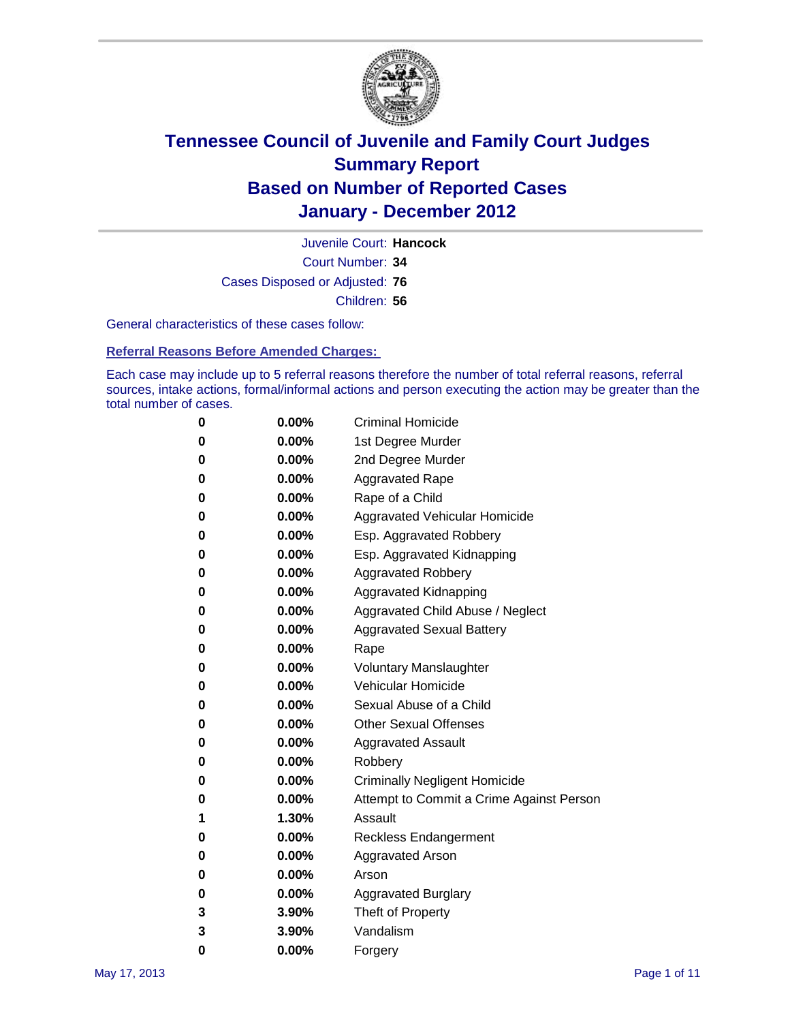

Court Number: **34** Juvenile Court: **Hancock** Cases Disposed or Adjusted: **76** Children: **56**

General characteristics of these cases follow:

**Referral Reasons Before Amended Charges:** 

Each case may include up to 5 referral reasons therefore the number of total referral reasons, referral sources, intake actions, formal/informal actions and person executing the action may be greater than the total number of cases.

| 0 | $0.00\%$ | <b>Criminal Homicide</b>                 |
|---|----------|------------------------------------------|
| 0 | $0.00\%$ | 1st Degree Murder                        |
| 0 | $0.00\%$ | 2nd Degree Murder                        |
| 0 | $0.00\%$ | <b>Aggravated Rape</b>                   |
| 0 | $0.00\%$ | Rape of a Child                          |
| 0 | $0.00\%$ | Aggravated Vehicular Homicide            |
| 0 | $0.00\%$ | Esp. Aggravated Robbery                  |
| 0 | $0.00\%$ | Esp. Aggravated Kidnapping               |
| 0 | $0.00\%$ | <b>Aggravated Robbery</b>                |
| 0 | $0.00\%$ | Aggravated Kidnapping                    |
| 0 | 0.00%    | Aggravated Child Abuse / Neglect         |
| 0 | 0.00%    | <b>Aggravated Sexual Battery</b>         |
| 0 | $0.00\%$ | Rape                                     |
| 0 | $0.00\%$ | <b>Voluntary Manslaughter</b>            |
| 0 | $0.00\%$ | Vehicular Homicide                       |
| 0 | $0.00\%$ | Sexual Abuse of a Child                  |
| 0 | $0.00\%$ | <b>Other Sexual Offenses</b>             |
| 0 | $0.00\%$ | <b>Aggravated Assault</b>                |
| 0 | 0.00%    | Robbery                                  |
| 0 | $0.00\%$ | <b>Criminally Negligent Homicide</b>     |
| 0 | $0.00\%$ | Attempt to Commit a Crime Against Person |
| 1 | 1.30%    | Assault                                  |
| 0 | $0.00\%$ | <b>Reckless Endangerment</b>             |
| 0 | $0.00\%$ | <b>Aggravated Arson</b>                  |
| 0 | $0.00\%$ | Arson                                    |
| 0 | $0.00\%$ | <b>Aggravated Burglary</b>               |
| 3 | 3.90%    | Theft of Property                        |
| 3 | 3.90%    | Vandalism                                |
| 0 | 0.00%    | Forgery                                  |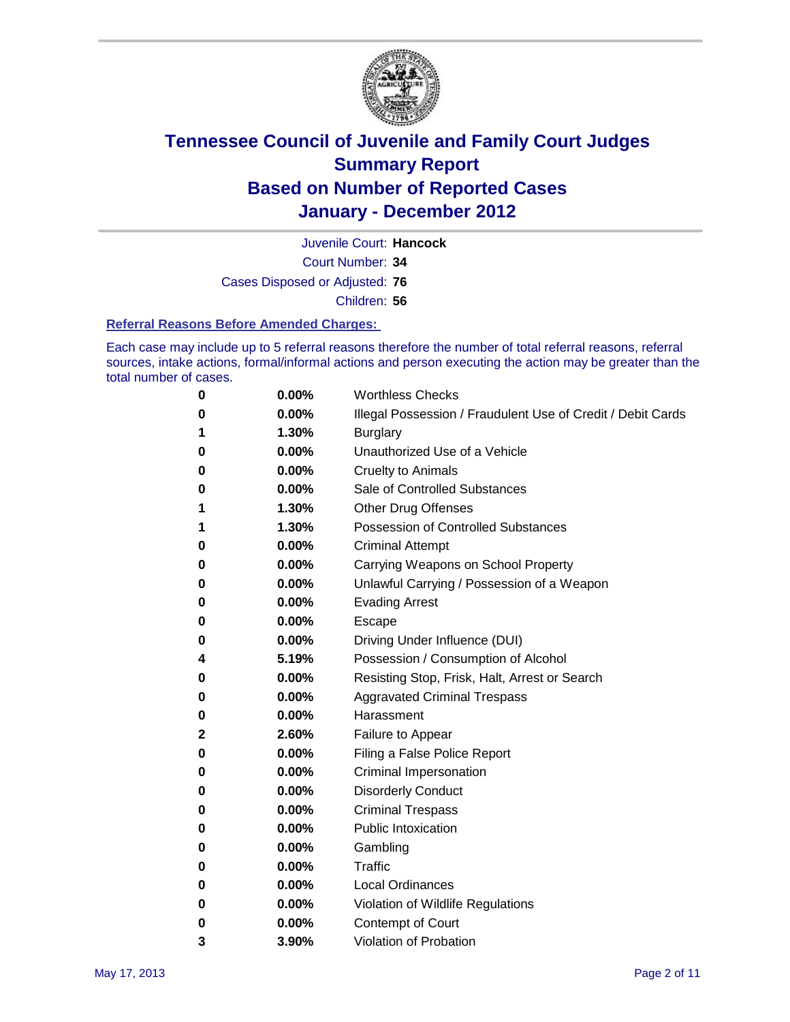

Court Number: **34** Juvenile Court: **Hancock** Cases Disposed or Adjusted: **76**

Children: **56**

#### **Referral Reasons Before Amended Charges:**

Each case may include up to 5 referral reasons therefore the number of total referral reasons, referral sources, intake actions, formal/informal actions and person executing the action may be greater than the total number of cases.

| 0 | 0.00%    | <b>Worthless Checks</b>                                     |
|---|----------|-------------------------------------------------------------|
| 0 | 0.00%    | Illegal Possession / Fraudulent Use of Credit / Debit Cards |
| 1 | 1.30%    | <b>Burglary</b>                                             |
| 0 | 0.00%    | Unauthorized Use of a Vehicle                               |
| 0 | $0.00\%$ | <b>Cruelty to Animals</b>                                   |
| 0 | $0.00\%$ | Sale of Controlled Substances                               |
| 1 | 1.30%    | <b>Other Drug Offenses</b>                                  |
| 1 | 1.30%    | Possession of Controlled Substances                         |
| 0 | 0.00%    | <b>Criminal Attempt</b>                                     |
| 0 | 0.00%    | Carrying Weapons on School Property                         |
| 0 | 0.00%    | Unlawful Carrying / Possession of a Weapon                  |
| 0 | 0.00%    | <b>Evading Arrest</b>                                       |
| 0 | 0.00%    | Escape                                                      |
| 0 | 0.00%    | Driving Under Influence (DUI)                               |
| 4 | 5.19%    | Possession / Consumption of Alcohol                         |
| 0 | 0.00%    | Resisting Stop, Frisk, Halt, Arrest or Search               |
| 0 | 0.00%    | <b>Aggravated Criminal Trespass</b>                         |
| 0 | 0.00%    | Harassment                                                  |
| 2 | 2.60%    | Failure to Appear                                           |
| 0 | 0.00%    | Filing a False Police Report                                |
| 0 | 0.00%    | Criminal Impersonation                                      |
| 0 | 0.00%    | <b>Disorderly Conduct</b>                                   |
| 0 | 0.00%    | <b>Criminal Trespass</b>                                    |
| 0 | 0.00%    | <b>Public Intoxication</b>                                  |
| 0 | 0.00%    | Gambling                                                    |
| 0 | 0.00%    | Traffic                                                     |
| 0 | $0.00\%$ | <b>Local Ordinances</b>                                     |
| 0 | 0.00%    | Violation of Wildlife Regulations                           |
| 0 | 0.00%    | Contempt of Court                                           |
| 3 | 3.90%    | Violation of Probation                                      |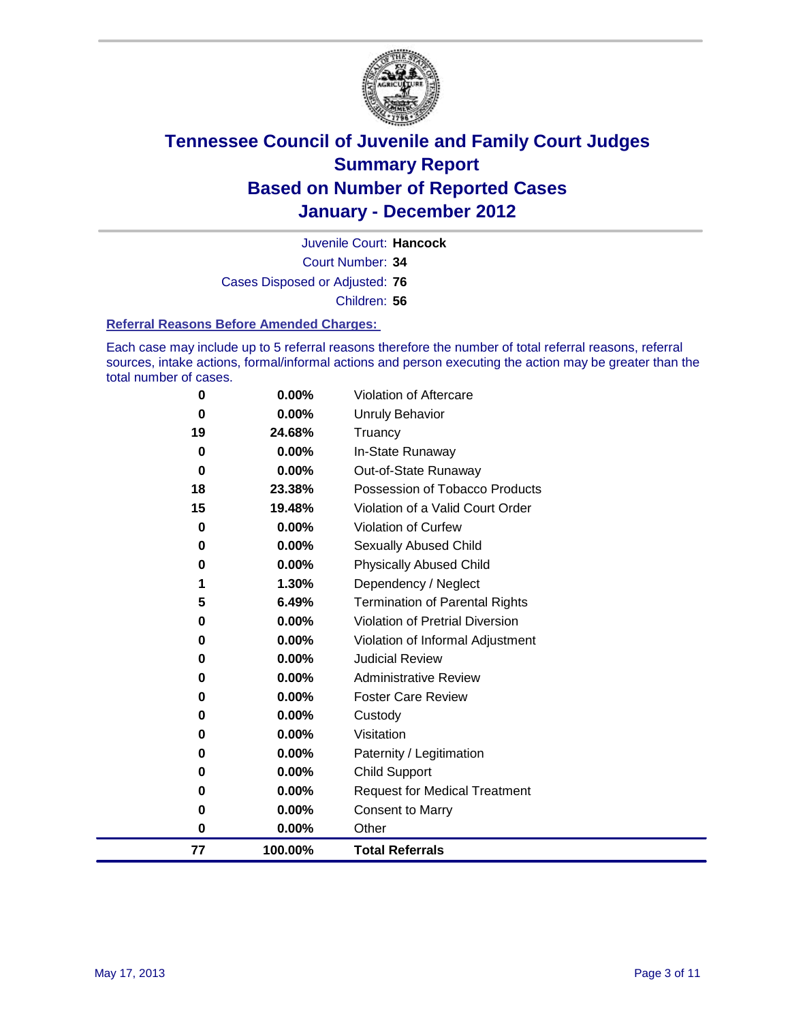

Court Number: **34** Juvenile Court: **Hancock** Cases Disposed or Adjusted: **76** Children: **56**

#### **Referral Reasons Before Amended Charges:**

Each case may include up to 5 referral reasons therefore the number of total referral reasons, referral sources, intake actions, formal/informal actions and person executing the action may be greater than the total number of cases.

| 0           | 0.00%    | Violation of Aftercare                 |
|-------------|----------|----------------------------------------|
| 0           | 0.00%    | <b>Unruly Behavior</b>                 |
| 19          | 24.68%   | Truancy                                |
| $\bf{0}$    | $0.00\%$ | In-State Runaway                       |
| 0           | 0.00%    | Out-of-State Runaway                   |
| 18          | 23.38%   | Possession of Tobacco Products         |
| 15          | 19.48%   | Violation of a Valid Court Order       |
| $\mathbf 0$ | 0.00%    | Violation of Curfew                    |
| 0           | $0.00\%$ | <b>Sexually Abused Child</b>           |
| 0           | 0.00%    | <b>Physically Abused Child</b>         |
|             | 1.30%    | Dependency / Neglect                   |
| 5           | 6.49%    | <b>Termination of Parental Rights</b>  |
| 0           | $0.00\%$ | <b>Violation of Pretrial Diversion</b> |
| 0           | 0.00%    | Violation of Informal Adjustment       |
| 0           | $0.00\%$ | <b>Judicial Review</b>                 |
| 0           | $0.00\%$ | <b>Administrative Review</b>           |
| 0           | $0.00\%$ | <b>Foster Care Review</b>              |
| 0           | 0.00%    | Custody                                |
| 0           | 0.00%    | Visitation                             |
| 0           | $0.00\%$ | Paternity / Legitimation               |
| 0           | 0.00%    | <b>Child Support</b>                   |
| 0           | 0.00%    | <b>Request for Medical Treatment</b>   |
| 0           | 0.00%    | <b>Consent to Marry</b>                |
| 0           | $0.00\%$ | Other                                  |
| 77          | 100.00%  | <b>Total Referrals</b>                 |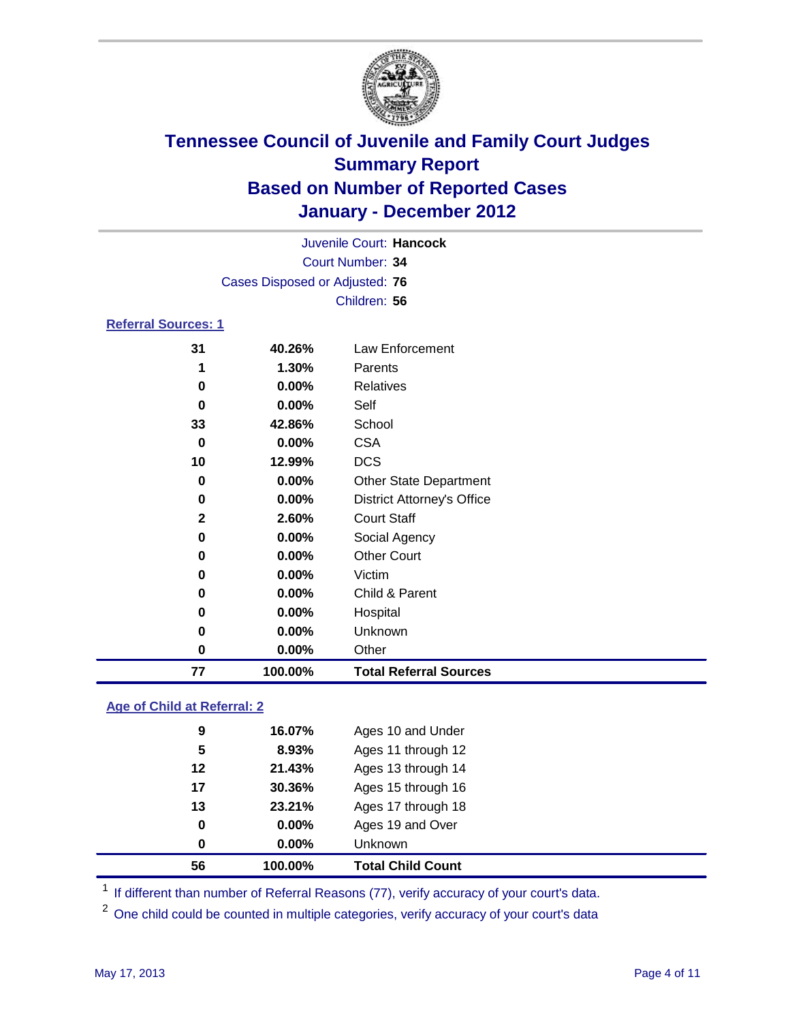

|                            |                                | Juvenile Court: Hancock           |  |
|----------------------------|--------------------------------|-----------------------------------|--|
|                            |                                | Court Number: 34                  |  |
|                            | Cases Disposed or Adjusted: 76 |                                   |  |
|                            |                                | Children: 56                      |  |
| <b>Referral Sources: 1</b> |                                |                                   |  |
| 31                         | 40.26%                         | Law Enforcement                   |  |
| 1                          | 1.30%                          | Parents                           |  |
| 0                          | $0.00\%$                       | <b>Relatives</b>                  |  |
| 0                          | $0.00\%$                       | Self                              |  |
| 33                         | 42.86%                         | School                            |  |
| 0                          | $0.00\%$                       | <b>CSA</b>                        |  |
| 10                         | 12.99%                         | DCS                               |  |
| 0                          | $0.00\%$                       | <b>Other State Department</b>     |  |
| 0                          | $0.00\%$                       | <b>District Attorney's Office</b> |  |
| $\mathbf{2}$               | 2.60%                          | <b>Court Staff</b>                |  |
| 0                          | 0.00%                          | Social Agency                     |  |
| 0                          | $0.00\%$                       | <b>Other Court</b>                |  |

| 77 | 100.00%  | <b>Total Referral Sources</b> |
|----|----------|-------------------------------|
| 0  | $0.00\%$ | Other                         |
| 0  | $0.00\%$ | Unknown                       |
| 0  | $0.00\%$ | Hospital                      |
| 0  | $0.00\%$ | Child & Parent                |
| 0  | $0.00\%$ | Victim                        |
|    |          |                               |

### **Age of Child at Referral: 2**

| 0<br>0 | $0.00\%$<br>0.00% | Ages 19 and Over<br>Unknown |
|--------|-------------------|-----------------------------|
|        |                   |                             |
|        |                   |                             |
| 13     | 23.21%            | Ages 17 through 18          |
| 17     | 30.36%            | Ages 15 through 16          |
| 12     | 21.43%            | Ages 13 through 14          |
| 5      | 8.93%             | Ages 11 through 12          |
| 9      | 16.07%            | Ages 10 and Under           |
|        |                   |                             |

<sup>1</sup> If different than number of Referral Reasons (77), verify accuracy of your court's data.

<sup>2</sup> One child could be counted in multiple categories, verify accuracy of your court's data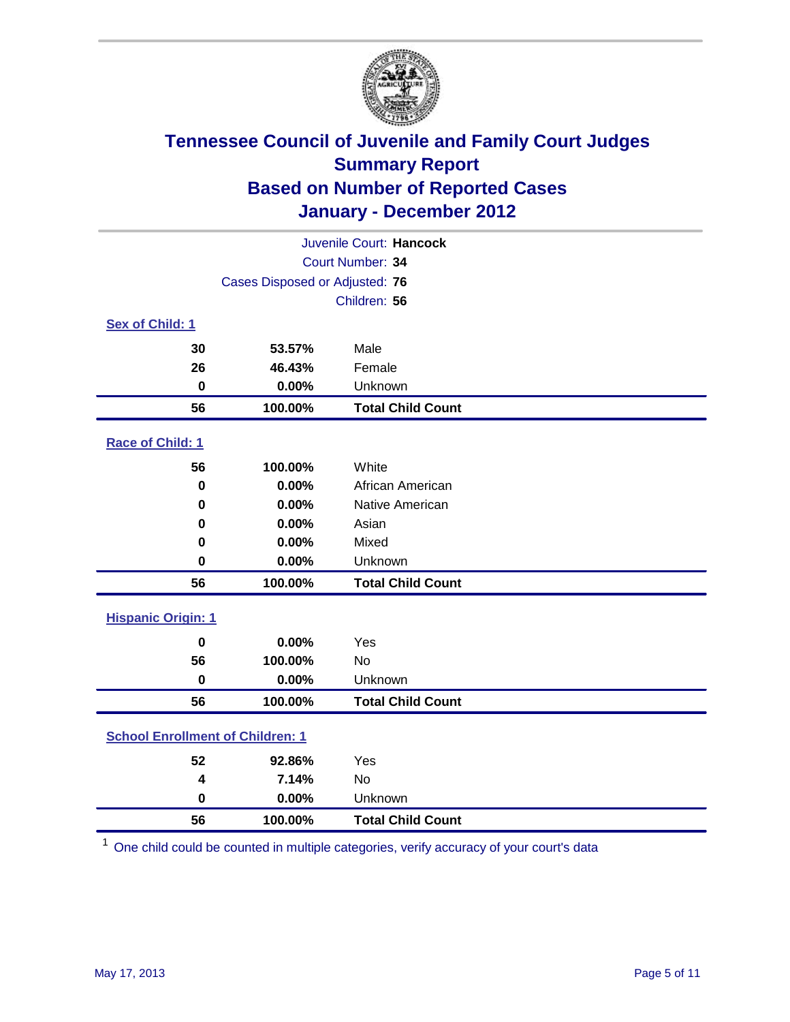

| Juvenile Court: Hancock                 |         |                          |  |  |  |
|-----------------------------------------|---------|--------------------------|--|--|--|
| Court Number: 34                        |         |                          |  |  |  |
| Cases Disposed or Adjusted: 76          |         |                          |  |  |  |
|                                         |         | Children: 56             |  |  |  |
| Sex of Child: 1                         |         |                          |  |  |  |
| 30                                      | 53.57%  | Male                     |  |  |  |
| 26                                      | 46.43%  | Female                   |  |  |  |
| $\mathbf 0$                             | 0.00%   | Unknown                  |  |  |  |
| 56                                      | 100.00% | <b>Total Child Count</b> |  |  |  |
| Race of Child: 1                        |         |                          |  |  |  |
| 56                                      | 100.00% | White                    |  |  |  |
| $\pmb{0}$                               | 0.00%   | African American         |  |  |  |
| 0                                       | 0.00%   | Native American          |  |  |  |
| 0                                       | 0.00%   | Asian                    |  |  |  |
| 0                                       | 0.00%   | Mixed                    |  |  |  |
| 0                                       | 0.00%   | Unknown                  |  |  |  |
| 56                                      | 100.00% | <b>Total Child Count</b> |  |  |  |
| <b>Hispanic Origin: 1</b>               |         |                          |  |  |  |
| $\mathbf 0$                             | 0.00%   | Yes                      |  |  |  |
| 56                                      | 100.00% | <b>No</b>                |  |  |  |
| $\mathbf 0$                             | 0.00%   | Unknown                  |  |  |  |
| 56                                      | 100.00% | <b>Total Child Count</b> |  |  |  |
| <b>School Enrollment of Children: 1</b> |         |                          |  |  |  |
| 52                                      | 92.86%  | Yes                      |  |  |  |
| 4                                       | 7.14%   | No                       |  |  |  |
| 0                                       | 0.00%   | Unknown                  |  |  |  |
| 56                                      | 100.00% | <b>Total Child Count</b> |  |  |  |

One child could be counted in multiple categories, verify accuracy of your court's data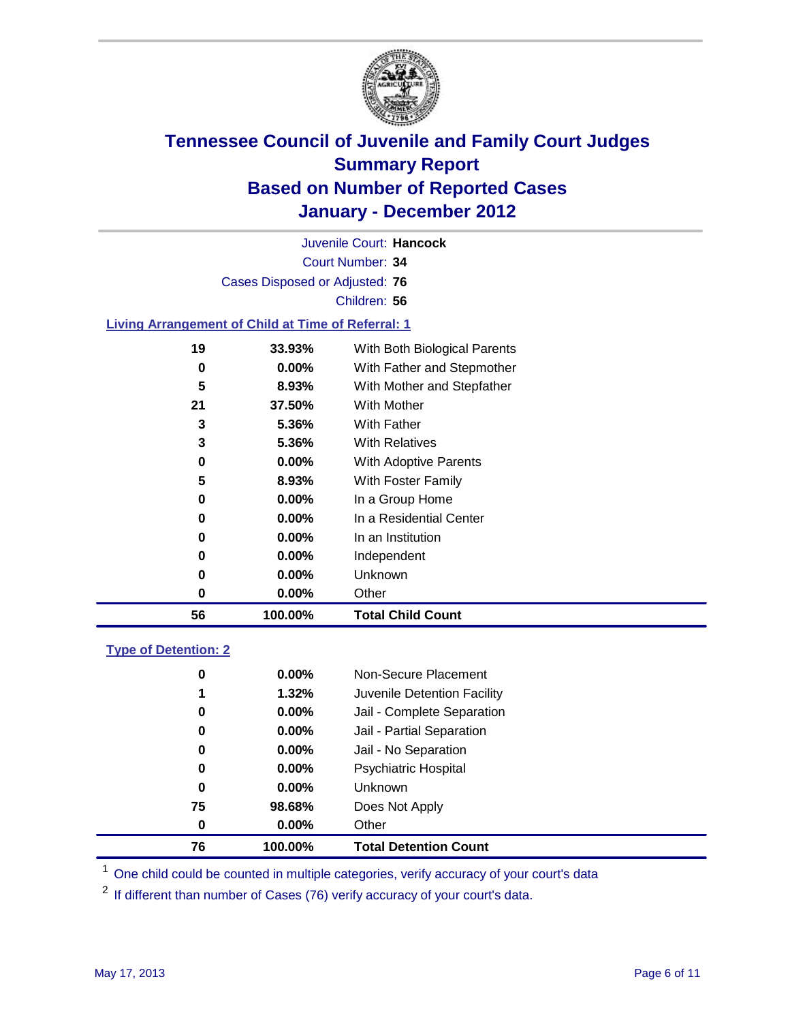

Court Number: **34** Juvenile Court: **Hancock** Cases Disposed or Adjusted: **76** Children: **56 Living Arrangement of Child at Time of Referral: 1 33.93%** With Both Biological Parents

| 56  | 100.00%  | <b>Total Child Count</b>     |
|-----|----------|------------------------------|
| 0   | $0.00\%$ | Other                        |
| 0   | $0.00\%$ | Unknown                      |
| 0   | $0.00\%$ | Independent                  |
| 0   | $0.00\%$ | In an Institution            |
| 0   | $0.00\%$ | In a Residential Center      |
| 0   | $0.00\%$ | In a Group Home              |
| 5   | 8.93%    | With Foster Family           |
| 0   | $0.00\%$ | <b>With Adoptive Parents</b> |
| 3   | 5.36%    | <b>With Relatives</b>        |
| 3   | 5.36%    | With Father                  |
| 21  | 37.50%   | <b>With Mother</b>           |
| 5   | 8.93%    | With Mother and Stepfather   |
| 0   | $0.00\%$ | With Father and Stepmother   |
| . . | vv.vv /v | """" Dow Diologioù i arc'ho  |

### **Type of Detention: 2**

| 76          | 100.00%  | <b>Total Detention Count</b> |
|-------------|----------|------------------------------|
| 0           | $0.00\%$ | Other                        |
| 75          | 98.68%   | Does Not Apply               |
| $\mathbf 0$ | $0.00\%$ | Unknown                      |
| 0           | 0.00%    | Psychiatric Hospital         |
| 0           | 0.00%    | Jail - No Separation         |
| 0           | $0.00\%$ | Jail - Partial Separation    |
| 0           | $0.00\%$ | Jail - Complete Separation   |
| 1           | 1.32%    | Juvenile Detention Facility  |
| 0           | $0.00\%$ | Non-Secure Placement         |
|             |          |                              |

<sup>1</sup> One child could be counted in multiple categories, verify accuracy of your court's data

<sup>2</sup> If different than number of Cases (76) verify accuracy of your court's data.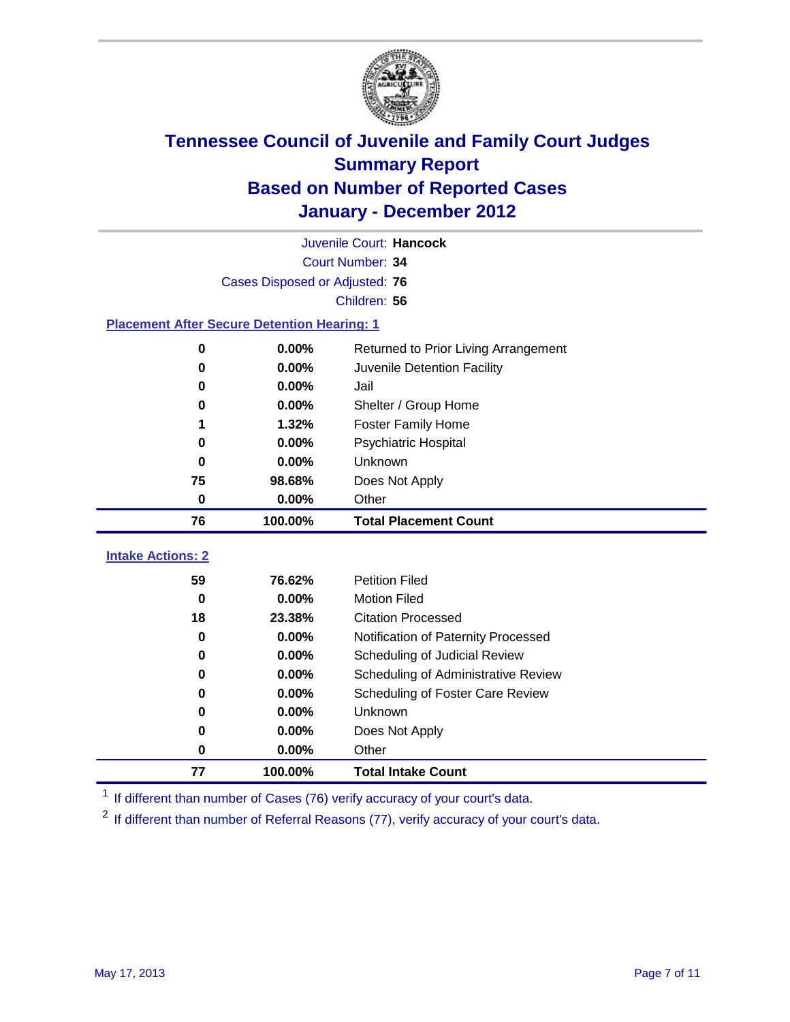

|                                                    |                  | Juvenile Court: Hancock              |  |  |  |
|----------------------------------------------------|------------------|--------------------------------------|--|--|--|
|                                                    | Court Number: 34 |                                      |  |  |  |
| Cases Disposed or Adjusted: 76                     |                  |                                      |  |  |  |
|                                                    |                  | Children: 56                         |  |  |  |
| <b>Placement After Secure Detention Hearing: 1</b> |                  |                                      |  |  |  |
| 0                                                  | 0.00%            | Returned to Prior Living Arrangement |  |  |  |
| $\bf{0}$                                           | 0.00%            | Juvenile Detention Facility          |  |  |  |
| 0                                                  | 0.00%            | Jail                                 |  |  |  |
| 0                                                  | 0.00%            | Shelter / Group Home                 |  |  |  |
| 1                                                  | 1.32%            | <b>Foster Family Home</b>            |  |  |  |
| $\bf{0}$                                           | 0.00%            | Psychiatric Hospital                 |  |  |  |
| 0                                                  | 0.00%            | Unknown                              |  |  |  |
| 75                                                 | 98.68%           | Does Not Apply                       |  |  |  |
| $\mathbf 0$                                        | 0.00%            | Other                                |  |  |  |
|                                                    |                  |                                      |  |  |  |
| 76                                                 | 100.00%          | <b>Total Placement Count</b>         |  |  |  |
|                                                    |                  |                                      |  |  |  |
| <b>Intake Actions: 2</b><br>59                     | 76.62%           | <b>Petition Filed</b>                |  |  |  |
| $\bf{0}$                                           | 0.00%            | <b>Motion Filed</b>                  |  |  |  |
| 18                                                 | 23.38%           | <b>Citation Processed</b>            |  |  |  |
| 0                                                  | 0.00%            | Notification of Paternity Processed  |  |  |  |
| $\mathbf 0$                                        | 0.00%            | Scheduling of Judicial Review        |  |  |  |
| $\bf{0}$                                           | 0.00%            | Scheduling of Administrative Review  |  |  |  |
| 0                                                  | 0.00%            | Scheduling of Foster Care Review     |  |  |  |
| 0                                                  | 0.00%            | Unknown                              |  |  |  |
| 0                                                  | 0.00%            | Does Not Apply                       |  |  |  |
| $\bf{0}$                                           | 0.00%            | Other                                |  |  |  |

<sup>1</sup> If different than number of Cases (76) verify accuracy of your court's data.

<sup>2</sup> If different than number of Referral Reasons (77), verify accuracy of your court's data.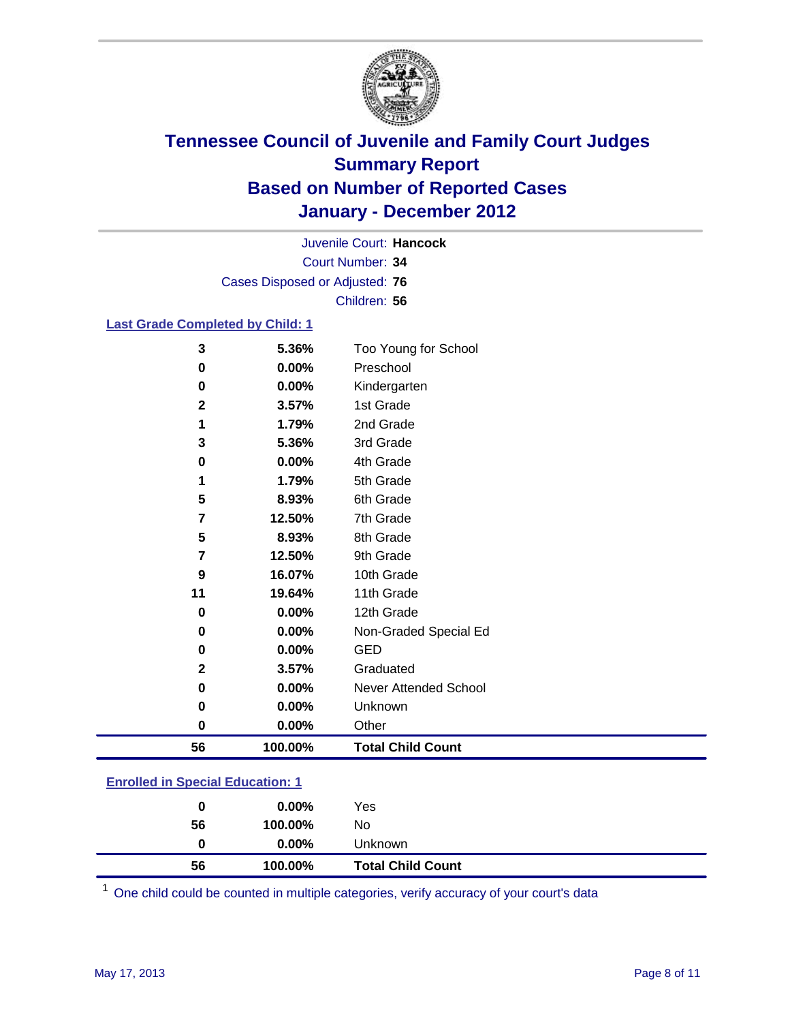

Court Number: **34** Juvenile Court: **Hancock** Cases Disposed or Adjusted: **76** Children: **56**

### **Last Grade Completed by Child: 1**

| 0           | 0.00%          | Other                             |
|-------------|----------------|-----------------------------------|
| 0           | 0.00%          | Unknown                           |
| 0           | 0.00%          | Never Attended School             |
| $\mathbf 2$ | 3.57%          | Graduated                         |
| 0           | 0.00%          | <b>GED</b>                        |
| 0           | 0.00%          | Non-Graded Special Ed             |
| 0           | 0.00%          | 12th Grade                        |
| 11          | 19.64%         | 11th Grade                        |
| 9           | 16.07%         | 10th Grade                        |
| 7           | 12.50%         | 9th Grade                         |
| 5           | 8.93%          | 8th Grade                         |
| 7           | 12.50%         | 7th Grade                         |
| 5           | 8.93%          | 6th Grade                         |
| 1           | 1.79%          | 5th Grade                         |
| 0           | 0.00%          | 4th Grade                         |
| 3           | 5.36%          | 3rd Grade                         |
| 1           | 1.79%          | 2nd Grade                         |
| $\mathbf 2$ | 3.57%          | 1st Grade                         |
| 0           | 0.00%<br>0.00% | Kindergarten                      |
| 0           |                | Too Young for School<br>Preschool |
| 3           | 5.36%          |                                   |

### **Enrolled in Special Education: 1**

| 56 | 100.00%  | No                                  |  |
|----|----------|-------------------------------------|--|
| 0  | $0.00\%$ | Unknown<br><b>Total Child Count</b> |  |
| 56 | 100.00%  |                                     |  |

One child could be counted in multiple categories, verify accuracy of your court's data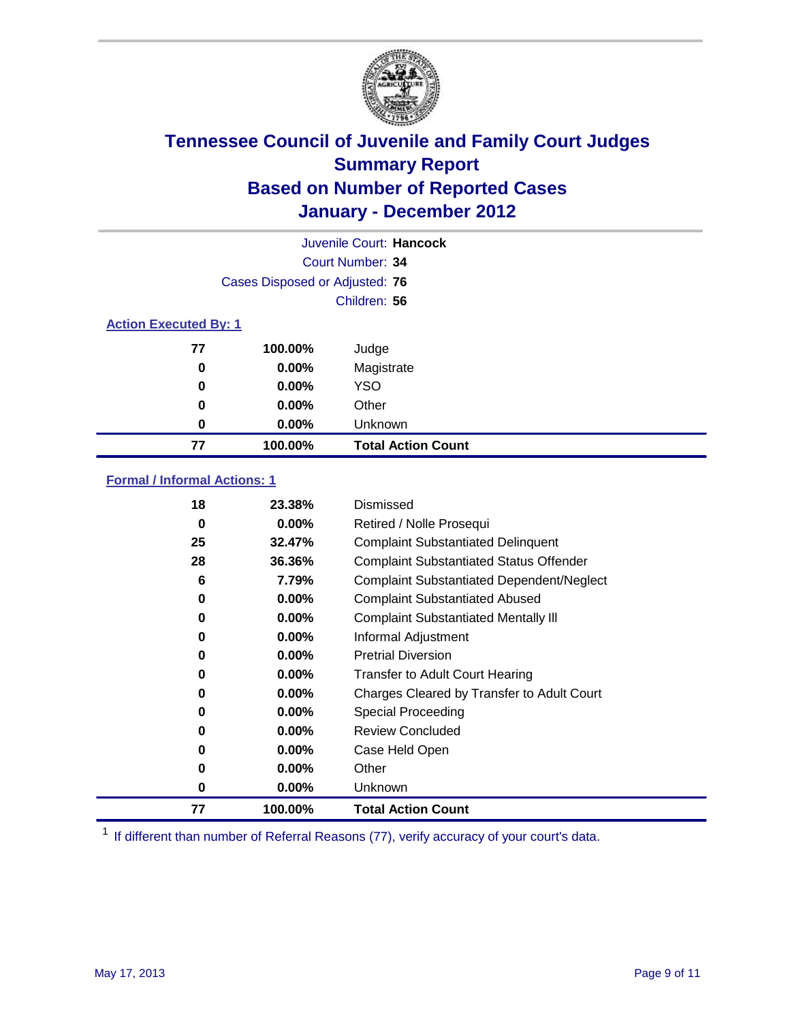

|                              |                                | Juvenile Court: Hancock   |
|------------------------------|--------------------------------|---------------------------|
|                              |                                | Court Number: 34          |
|                              | Cases Disposed or Adjusted: 76 |                           |
|                              |                                | Children: 56              |
| <b>Action Executed By: 1</b> |                                |                           |
| 77                           | 100.00%                        | Judge                     |
| 0                            | 0.00%                          | Magistrate                |
| 0                            | 0.00%                          | <b>YSO</b>                |
| 0                            | 0.00%                          | Other                     |
| 0                            | 0.00%                          | Unknown                   |
| 77                           | 100.00%                        | <b>Total Action Count</b> |

### **Formal / Informal Actions: 1**

| 18 | 23.38%   | Dismissed                                        |
|----|----------|--------------------------------------------------|
| 0  | $0.00\%$ | Retired / Nolle Prosequi                         |
| 25 | 32.47%   | <b>Complaint Substantiated Delinquent</b>        |
| 28 | 36.36%   | <b>Complaint Substantiated Status Offender</b>   |
| 6  | 7.79%    | <b>Complaint Substantiated Dependent/Neglect</b> |
| 0  | 0.00%    | <b>Complaint Substantiated Abused</b>            |
| 0  | $0.00\%$ | <b>Complaint Substantiated Mentally III</b>      |
| 0  | $0.00\%$ | Informal Adjustment                              |
| 0  | $0.00\%$ | <b>Pretrial Diversion</b>                        |
| 0  | 0.00%    | <b>Transfer to Adult Court Hearing</b>           |
| 0  | 0.00%    | Charges Cleared by Transfer to Adult Court       |
| 0  | $0.00\%$ | Special Proceeding                               |
| 0  | $0.00\%$ | <b>Review Concluded</b>                          |
| 0  | $0.00\%$ | Case Held Open                                   |
| 0  | $0.00\%$ | Other                                            |
| 0  | $0.00\%$ | <b>Unknown</b>                                   |
| 77 | 100.00%  | <b>Total Action Count</b>                        |

<sup>1</sup> If different than number of Referral Reasons (77), verify accuracy of your court's data.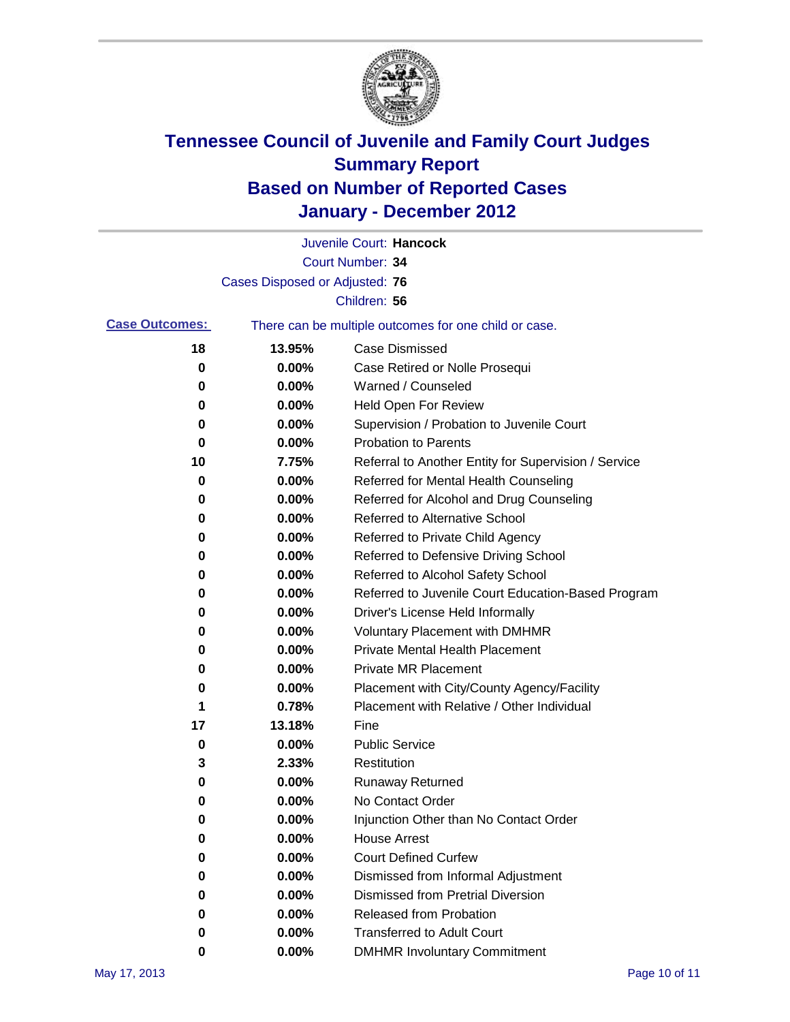

|                       |                                | Juvenile Court: Hancock                               |
|-----------------------|--------------------------------|-------------------------------------------------------|
|                       |                                | Court Number: 34                                      |
|                       | Cases Disposed or Adjusted: 76 |                                                       |
|                       |                                | Children: 56                                          |
| <b>Case Outcomes:</b> |                                | There can be multiple outcomes for one child or case. |
| 18                    | 13.95%                         | <b>Case Dismissed</b>                                 |
| 0                     | 0.00%                          | Case Retired or Nolle Prosequi                        |
| 0                     | 0.00%                          | Warned / Counseled                                    |
| 0                     | 0.00%                          | Held Open For Review                                  |
| 0                     | 0.00%                          | Supervision / Probation to Juvenile Court             |
| 0                     | 0.00%                          | <b>Probation to Parents</b>                           |
| 10                    | 7.75%                          | Referral to Another Entity for Supervision / Service  |
| 0                     | 0.00%                          | Referred for Mental Health Counseling                 |
| 0                     | 0.00%                          | Referred for Alcohol and Drug Counseling              |
| 0                     | 0.00%                          | Referred to Alternative School                        |
| 0                     | 0.00%                          | Referred to Private Child Agency                      |
| 0                     | 0.00%                          | Referred to Defensive Driving School                  |
| 0                     | 0.00%                          | Referred to Alcohol Safety School                     |
| 0                     | 0.00%                          | Referred to Juvenile Court Education-Based Program    |
| 0                     | 0.00%                          | Driver's License Held Informally                      |
| 0                     | 0.00%                          | <b>Voluntary Placement with DMHMR</b>                 |
| 0                     | 0.00%                          | Private Mental Health Placement                       |
| 0                     | 0.00%                          | <b>Private MR Placement</b>                           |
| 0                     | 0.00%                          | Placement with City/County Agency/Facility            |
| 1                     | 0.78%                          | Placement with Relative / Other Individual            |
| 17                    | 13.18%                         | Fine                                                  |
| 0                     | 0.00%                          | <b>Public Service</b>                                 |
| 3                     | 2.33%                          | Restitution                                           |
| 0                     | 0.00%                          | <b>Runaway Returned</b>                               |
| 0                     | 0.00%                          | No Contact Order                                      |
| 0                     | 0.00%                          | Injunction Other than No Contact Order                |
| 0                     | 0.00%                          | <b>House Arrest</b>                                   |
| 0                     | $0.00\%$                       | <b>Court Defined Curfew</b>                           |
| 0                     | $0.00\%$                       | Dismissed from Informal Adjustment                    |
| 0                     | $0.00\%$                       | <b>Dismissed from Pretrial Diversion</b>              |
| 0                     | 0.00%                          | <b>Released from Probation</b>                        |
| 0                     | $0.00\%$                       | <b>Transferred to Adult Court</b>                     |
| 0                     | 0.00%                          | <b>DMHMR Involuntary Commitment</b>                   |